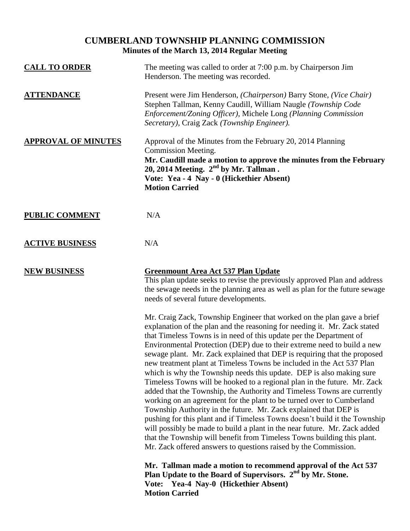## **CUMBERLAND TOWNSHIP PLANNING COMMISSION Minutes of the March 13, 2014 Regular Meeting**

| <b>CALL TO ORDER</b>       | The meeting was called to order at 7:00 p.m. by Chairperson Jim<br>Henderson. The meeting was recorded.                                                                                                                                                                                                                                                                                                                                                                                                                                                                                                                                                                                                                                                                                                                                                                                                                                                                                                                                                                                                                                         |
|----------------------------|-------------------------------------------------------------------------------------------------------------------------------------------------------------------------------------------------------------------------------------------------------------------------------------------------------------------------------------------------------------------------------------------------------------------------------------------------------------------------------------------------------------------------------------------------------------------------------------------------------------------------------------------------------------------------------------------------------------------------------------------------------------------------------------------------------------------------------------------------------------------------------------------------------------------------------------------------------------------------------------------------------------------------------------------------------------------------------------------------------------------------------------------------|
| <b>ATTENDANCE</b>          | Present were Jim Henderson, (Chairperson) Barry Stone, (Vice Chair)<br>Stephen Tallman, Kenny Caudill, William Naugle (Township Code<br>Enforcement/Zoning Officer), Michele Long (Planning Commission<br>Secretary), Craig Zack (Township Engineer).                                                                                                                                                                                                                                                                                                                                                                                                                                                                                                                                                                                                                                                                                                                                                                                                                                                                                           |
| <b>APPROVAL OF MINUTES</b> | Approval of the Minutes from the February 20, 2014 Planning<br>Commission Meeting.<br>Mr. Caudill made a motion to approve the minutes from the February<br>20, 2014 Meeting. $2nd$ by Mr. Tallman.<br>Vote: Yea - 4 Nay - 0 (Hickethier Absent)<br><b>Motion Carried</b>                                                                                                                                                                                                                                                                                                                                                                                                                                                                                                                                                                                                                                                                                                                                                                                                                                                                       |
| <b>PUBLIC COMMENT</b>      | N/A                                                                                                                                                                                                                                                                                                                                                                                                                                                                                                                                                                                                                                                                                                                                                                                                                                                                                                                                                                                                                                                                                                                                             |
| <b>ACTIVE BUSINESS</b>     | N/A                                                                                                                                                                                                                                                                                                                                                                                                                                                                                                                                                                                                                                                                                                                                                                                                                                                                                                                                                                                                                                                                                                                                             |
| <b>NEW BUSINESS</b>        | Greenmount Area Act 537 Plan Update<br>This plan update seeks to revise the previously approved Plan and address<br>the sewage needs in the planning area as well as plan for the future sewage<br>needs of several future developments.                                                                                                                                                                                                                                                                                                                                                                                                                                                                                                                                                                                                                                                                                                                                                                                                                                                                                                        |
|                            | Mr. Craig Zack, Township Engineer that worked on the plan gave a brief<br>explanation of the plan and the reasoning for needing it. Mr. Zack stated<br>that Timeless Towns is in need of this update per the Department of<br>Environmental Protection (DEP) due to their extreme need to build a new<br>sewage plant. Mr. Zack explained that DEP is requiring that the proposed<br>new treatment plant at Timeless Towns be included in the Act 537 Plan<br>which is why the Township needs this update. DEP is also making sure<br>Timeless Towns will be hooked to a regional plan in the future. Mr. Zack<br>added that the Township, the Authority and Timeless Towns are currently<br>working on an agreement for the plant to be turned over to Cumberland<br>Township Authority in the future. Mr. Zack explained that DEP is<br>pushing for this plant and if Timeless Towns doesn't build it the Township<br>will possibly be made to build a plant in the near future. Mr. Zack added<br>that the Township will benefit from Timeless Towns building this plant.<br>Mr. Zack offered answers to questions raised by the Commission. |
|                            | Mr. Tallman made a motion to recommend approval of the Act 537<br>Plan Update to the Board of Supervisors. 2 <sup>nd</sup> by Mr. Stone.<br>Vote: Yea-4 Nay-0 (Hickethier Absent)<br><b>Motion Carried</b>                                                                                                                                                                                                                                                                                                                                                                                                                                                                                                                                                                                                                                                                                                                                                                                                                                                                                                                                      |